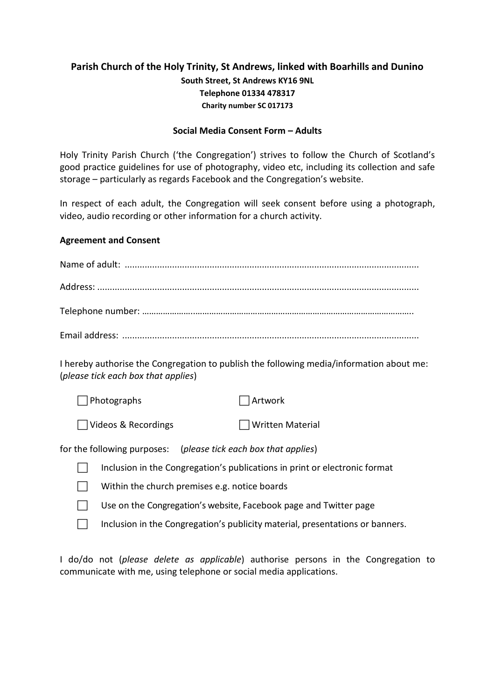## **Parish Church of the Holy Trinity, St Andrews, linked with Boarhills and Dunino South Street, St Andrews KY16 9NL Telephone 01334 478317 Charity number SC 017173**

## **Social Media Consent Form – Adults**

Holy Trinity Parish Church ('the Congregation') strives to follow the Church of Scotland's good practice guidelines for use of photography, video etc, including its collection and safe storage – particularly as regards Facebook and the Congregation's website.

In respect of each adult, the Congregation will seek consent before using a photograph, video, audio recording or other information for a church activity.

## **Agreement and Consent**

| I hereby authorise the Congregation to publish the following media/information about me:<br>(please tick each box that applies) |                         |
|---------------------------------------------------------------------------------------------------------------------------------|-------------------------|
| Photographs                                                                                                                     | Artwork                 |
| Videos & Recordings                                                                                                             | <b>Written Material</b> |
| for the following purposes: (please tick each box that applies)                                                                 |                         |
| Inclusion in the Congregation's publications in print or electronic format                                                      |                         |
| Within the church premises e.g. notice boards                                                                                   |                         |
| Use on the Congregation's website, Facebook page and Twitter page                                                               |                         |
| Inclusion in the Congregation's publicity material, presentations or banners.                                                   |                         |

I do/do not (*please delete as applicable*) authorise persons in the Congregation to communicate with me, using telephone or social media applications.